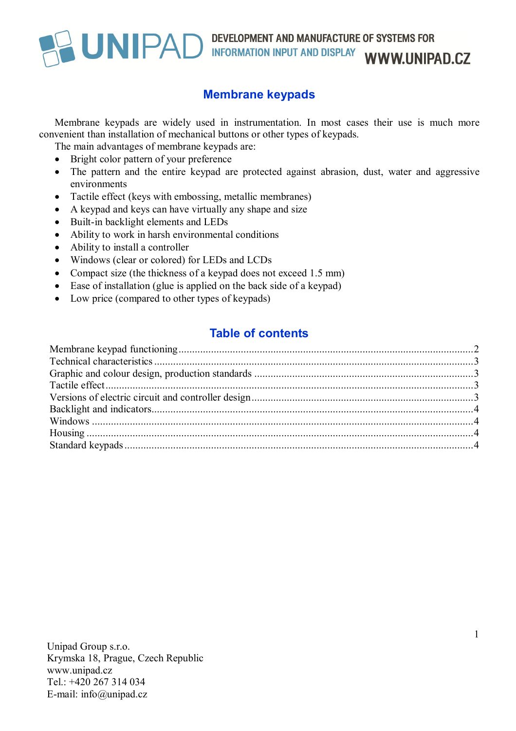

#### **Membrane keypads**

Membrane keypads are widely used in instrumentation. In most cases their use is much more convenient than installation of mechanical buttons or other types of keypads.

The main advantages of membrane keypads are:

- Bright color pattern of your preference
- The pattern and the entire keypad are protected against abrasion, dust, water and aggressive environments
- Tactile effect (keys with embossing, metallic membranes)
- A keypad and keys can have virtually any shape and size
- Built-in backlight elements and LEDs
- Ability to work in harsh environmental conditions
- Ability to install a controller
- Windows (clear or colored) for LEDs and LCDs
- Compact size (the thickness of a keypad does not exceed 1.5 mm)
- Ease of installation (glue is applied on the back side of a keypad)
- Low price (compared to other types of keypads)

#### **Table of contents**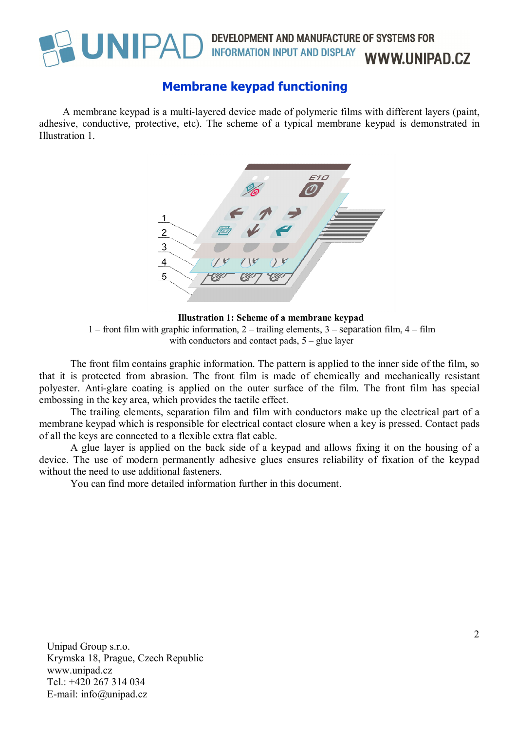

#### DEVELOPMENT AND MANUFACTURE OF SYSTEMS FOR **INFORMATION INPUT AND DISPLAY WWW.UNIPAD.CZ**

### **Membrane keypad functioning**

A membrane keypad is a multi-layered device made of polymeric films with different layers (paint, adhesive, conductive, protective, etc). The scheme of a typical membrane keypad is demonstrated in Illustration 1.



**Illustration 1: Scheme of a membrane keypad** 1 – front film with graphic information, 2 – trailing elements,  $3$  – separation film,  $4$  – film with conductors and contact pads,  $5 -$  glue layer

The front film contains graphic information. The pattern is applied to the inner side of the film, so that it is protected from abrasion. The front film is made of chemically and mechanically resistant polyester. Anti-glare coating is applied on the outer surface of the film. The front film has special embossing in the key area, which provides the tactile effect.

The trailing elements, separation film and film with conductors make up the electrical part of a membrane keypad which is responsible for electrical contact closure when a key is pressed. Contact pads of all the keys are connected to a flexible extra flat cable.

A glue layer is applied on the back side of a keypad and allows fixing it on the housing of a device. The use of modern permanently adhesive glues ensures reliability of fixation of the keypad without the need to use additional fasteners.

You can find more detailed information further in this document.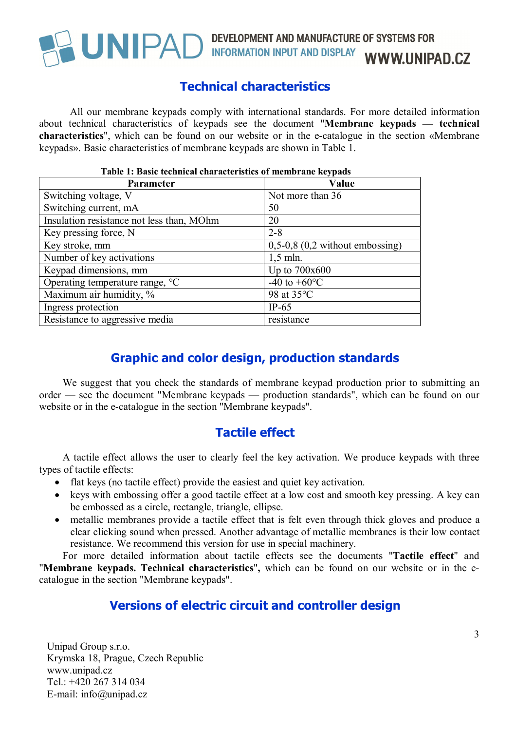

## UNIPAD DEVELOPMENT AND MANUFACTURE OF SYSTEMS FOR INFORMATION INPUT AND DISPLAY WWW.UNIPAD.CZ

#### **Technical characteristics**

All our membrane keypads comply with international standards. For more detailed information about technical characteristics of keypads see the document "**Membrane keypads — technical characteristics**", which can be found on our website or in the e-catalogue in the section «Membrane keypads». Basic characteristics of membrane keypads are shown in Table 1.

| l able 1: Basic tecnnical characteristics of membrane keypads |                                     |  |
|---------------------------------------------------------------|-------------------------------------|--|
| <b>Parameter</b>                                              | Value                               |  |
| Switching voltage, V                                          | Not more than 36                    |  |
| Switching current, mA                                         | 50                                  |  |
| Insulation resistance not less than, MOhm                     | 20                                  |  |
| Key pressing force, N                                         | $2 - 8$                             |  |
| Key stroke, mm                                                | $0,5-0,8$ $(0,2$ without embossing) |  |
| Number of key activations                                     | $1,5$ mln.                          |  |
| Keypad dimensions, mm                                         | Up to 700x600                       |  |
| Operating temperature range, °C                               | -40 to $+60^{\circ}$ C              |  |
| Maximum air humidity, %                                       | 98 at 35°C                          |  |
| Ingress protection                                            | $IP-65$                             |  |
| Resistance to aggressive media                                | resistance                          |  |

#### **Table 1: Basic technical characteristics of membrane keypads**

#### **Graphic and color design, production standards**

We suggest that you check the standards of membrane keypad production prior to submitting an order — see the document "Membrane keypads — production standards", which can be found on our website or in the e-catalogue in the section "Membrane keypads".

#### **Tactile effect**

A tactile effect allows the user to clearly feel the key activation. We produce keypads with three types of tactile effects:

- flat keys (no tactile effect) provide the easiest and quiet key activation.
- keys with embossing offer a good tactile effect at a low cost and smooth key pressing. A key can be embossed as a circle, rectangle, triangle, ellipse.
- metallic membranes provide a tactile effect that is felt even through thick gloves and produce a clear clicking sound when pressed. Another advantage of metallic membranes is their low contact resistance. We recommend this version for use in special machinery.

For more detailed information about tactile effects see the documents "**Tactile effect**" and "**Membrane keypads. Technical characteristics**"**,** which can be found on our website or in the ecatalogue in the section "Membrane keypads".

#### **Versions of electric circuit and controller design**